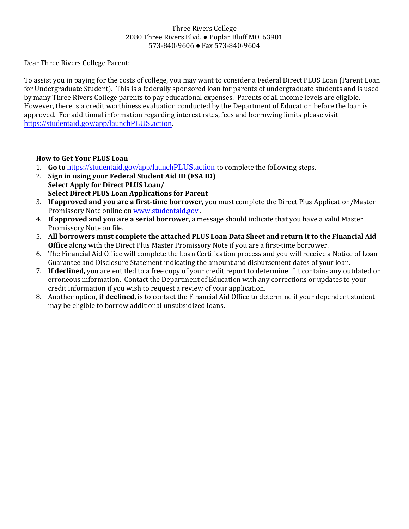## Three Rivers College 2080 Three Rivers Blvd. ● Poplar Bluff MO 63901 573-840-9606 ● Fax 573-840-9604

Dear Three Rivers College Parent:

To assist you in paying for the costs of college, you may want to consider a Federal Direct PLUS Loan (Parent Loan for Undergraduate Student). This is a federally sponsored loan for parents of undergraduate students and is used by many Three Rivers College parents to pay educational expenses. Parents of all income levels are eligible. However, there is a credit worthiness evaluation conducted by the Department of Education before the loan is approved. For additional information regarding interest rates, fees and borrowing limits please visit [https://studentaid.gov/app/launchPLUS.action.](https://studentaid.gov/app/launchPLUS.action)

## **How to Get Your PLUS Loan**

- 1. **Go to** <https://studentaid.gov/app/launchPLUS.action> to complete the following steps.
- 2. **Sign in using your Federal Student Aid ID (FSA ID) Select Apply for Direct PLUS Loan/ Select Direct PLUS Loan Applications for Parent**
- 3. **If approved and you are a first-time borrower**, you must complete the Direct Plus Application/Master Promissory Note online on [www.studentaid.gov](http://www.studentaid.gov/) .
- 4. **If approved and you are a serial borrowe**r, a message should indicate that you have a valid Master Promissory Note on file.
- 5. **All borrowers must complete the attached PLUS Loan Data Sheet and return it to the Financial Aid Office** along with the Direct Plus Master Promissory Note if you are a first-time borrower.
- 6. The Financial Aid Office will complete the Loan Certification process and you will receive a Notice of Loan Guarantee and Disclosure Statement indicating the amount and disbursement dates of your loan.
- 7. **If declined,** you are entitled to a free copy of your credit report to determine if it contains any outdated or erroneous information. Contact the Department of Education with any corrections or updates to your credit information if you wish to request a review of your application.
- 8. Another option, **if declined,** is to contact the Financial Aid Office to determine if your dependent student may be eligible to borrow additional unsubsidized loans.